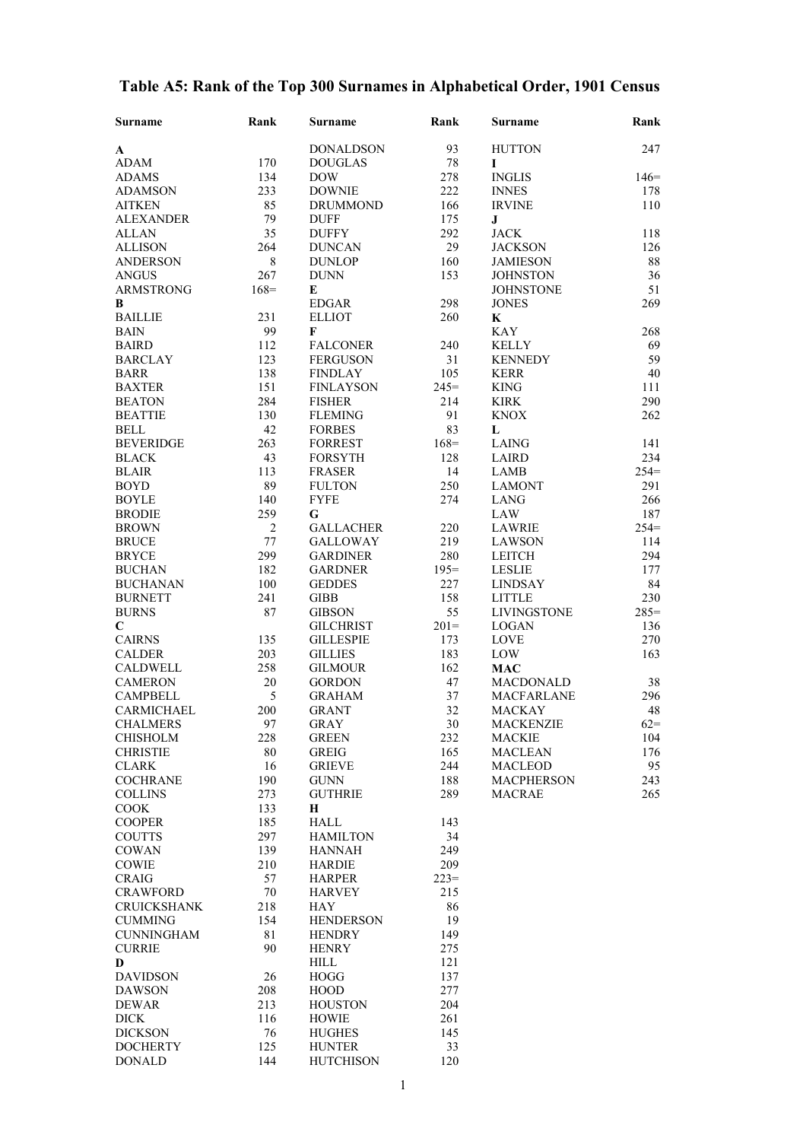| <b>Surname</b>                   | Rank           | Surname                         | Rank      | <b>Surname</b>       | Rank          |
|----------------------------------|----------------|---------------------------------|-----------|----------------------|---------------|
| A                                |                | <b>DONALDSON</b>                | 93        | <b>HUTTON</b>        | 247           |
| <b>ADAM</b>                      | 170            | <b>DOUGLAS</b>                  | 78        | I                    |               |
| <b>ADAMS</b>                     | 134            | <b>DOW</b>                      | 278       | <b>INGLIS</b>        | $146=$        |
| <b>ADAMSON</b>                   | 233            | <b>DOWNIE</b>                   | 222       | <b>INNES</b>         | 178           |
| <b>AITKEN</b>                    | 85             | <b>DRUMMOND</b>                 | 166       | <b>IRVINE</b>        | 110           |
| <b>ALEXANDER</b>                 | 79             | <b>DUFF</b>                     | 175       | $\bf J$              |               |
| <b>ALLAN</b>                     | 35             | <b>DUFFY</b>                    | 292       | <b>JACK</b>          | 118           |
| <b>ALLISON</b>                   | 264            | <b>DUNCAN</b>                   | 29        | <b>JACKSON</b>       | 126           |
| <b>ANDERSON</b>                  | $\,8\,$        | <b>DUNLOP</b>                   | 160       | <b>JAMIESON</b>      | $88\,$        |
| <b>ANGUS</b>                     | 267            | <b>DUNN</b>                     | 153       | <b>JOHNSTON</b>      | 36            |
| <b>ARMSTRONG</b>                 | $168=$         | E                               |           | <b>JOHNSTONE</b>     | 51            |
| В                                |                | <b>EDGAR</b>                    | 298       | <b>JONES</b>         | 269           |
| <b>BAILLIE</b>                   | 231            | <b>ELLIOT</b>                   | 260       | $\mathbf K$          |               |
| <b>BAIN</b>                      | 99             | F                               |           | <b>KAY</b>           | 268           |
| <b>BAIRD</b>                     | 112            | <b>FALCONER</b>                 | 240       | <b>KELLY</b>         | 69            |
| <b>BARCLAY</b>                   | 123            | <b>FERGUSON</b>                 | 31        | <b>KENNEDY</b>       | 59            |
| <b>BARR</b>                      | 138            | <b>FINDLAY</b>                  | 105       | <b>KERR</b>          | 40            |
| <b>BAXTER</b>                    | 151            | <b>FINLAYSON</b>                | $245=$    | <b>KING</b>          | 111           |
| <b>BEATON</b>                    | 284            | <b>FISHER</b>                   | 214       | <b>KIRK</b>          | 290           |
| <b>BEATTIE</b>                   | 130            | <b>FLEMING</b>                  | 91        | <b>KNOX</b>          | 262           |
| <b>BELL</b>                      | 42             | <b>FORBES</b>                   | 83        | L                    |               |
| <b>BEVERIDGE</b><br><b>BLACK</b> | 263            | <b>FORREST</b>                  | $168=$    | LAING                | 141           |
| <b>BLAIR</b>                     | 43<br>113      | <b>FORSYTH</b><br><b>FRASER</b> | 128<br>14 | <b>LAIRD</b><br>LAMB | 234<br>$254=$ |
| <b>BOYD</b>                      | 89             | <b>FULTON</b>                   | 250       | <b>LAMONT</b>        | 291           |
| <b>BOYLE</b>                     | 140            | <b>FYFE</b>                     | 274       | <b>LANG</b>          | 266           |
| <b>BRODIE</b>                    | 259            | G                               |           | LAW                  | 187           |
| <b>BROWN</b>                     | $\overline{2}$ | <b>GALLACHER</b>                | 220       | <b>LAWRIE</b>        | $254=$        |
| <b>BRUCE</b>                     | 77             | <b>GALLOWAY</b>                 | 219       | <b>LAWSON</b>        | 114           |
| <b>BRYCE</b>                     | 299            | <b>GARDINER</b>                 | 280       | <b>LEITCH</b>        | 294           |
| <b>BUCHAN</b>                    | 182            | <b>GARDNER</b>                  | $195=$    | <b>LESLIE</b>        | 177           |
| <b>BUCHANAN</b>                  | 100            | <b>GEDDES</b>                   | 227       | <b>LINDSAY</b>       | 84            |
| <b>BURNETT</b>                   | 241            | <b>GIBB</b>                     | 158       | <b>LITTLE</b>        | 230           |
| <b>BURNS</b>                     | 87             | <b>GIBSON</b>                   | 55        | <b>LIVINGSTONE</b>   | $285=$        |
| $\mathbf C$                      |                | <b>GILCHRIST</b>                | $201=$    | <b>LOGAN</b>         | 136           |
| <b>CAIRNS</b>                    | 135            | <b>GILLESPIE</b>                | 173       | <b>LOVE</b>          | 270           |
| <b>CALDER</b>                    | 203            | <b>GILLIES</b>                  | 183       | LOW                  | 163           |
| <b>CALDWELL</b>                  | 258            | <b>GILMOUR</b>                  | 162       | <b>MAC</b>           |               |
| <b>CAMERON</b>                   | 20             | <b>GORDON</b>                   | 47        | <b>MACDONALD</b>     | 38            |
| <b>CAMPBELL</b>                  | 5              | <b>GRAHAM</b>                   | 37        | <b>MACFARLANE</b>    | 296           |
| CARMICHAEL                       | 200            | <b>GRANT</b>                    | 32        | <b>MACKAY</b>        | 48            |
| <b>CHALMERS</b>                  | 97             | GRAY                            | 30        | <b>MACKENZIE</b>     | $62 =$        |
| <b>CHISHOLM</b>                  | 228            | <b>GREEN</b>                    | 232       | <b>MACKIE</b>        | 104           |
| <b>CHRISTIE</b>                  | 80             | GREIG                           | 165       | <b>MACLEAN</b>       | 176           |
| CLARK                            | 16             | <b>GRIEVE</b>                   | 244       | <b>MACLEOD</b>       | 95            |
| <b>COCHRANE</b>                  | 190            | <b>GUNN</b>                     | 188       | <b>MACPHERSON</b>    | 243           |
| <b>COLLINS</b>                   | 273            | <b>GUTHRIE</b>                  | 289       | <b>MACRAE</b>        | 265           |
| <b>COOK</b>                      | 133            | Н                               |           |                      |               |
| <b>COOPER</b><br><b>COUTTS</b>   | 185            | HALL<br><b>HAMILTON</b>         | 143<br>34 |                      |               |
| COWAN                            | 297<br>139     | <b>HANNAH</b>                   | 249       |                      |               |
| <b>COWIE</b>                     | 210            | <b>HARDIE</b>                   | 209       |                      |               |
| <b>CRAIG</b>                     | 57             | <b>HARPER</b>                   | $223=$    |                      |               |
| <b>CRAWFORD</b>                  | $70\,$         | <b>HARVEY</b>                   | 215       |                      |               |
| <b>CRUICKSHANK</b>               | 218            | HAY                             | 86        |                      |               |
| <b>CUMMING</b>                   | 154            | <b>HENDERSON</b>                | 19        |                      |               |
| <b>CUNNINGHAM</b>                | 81             | <b>HENDRY</b>                   | 149       |                      |               |
| <b>CURRIE</b>                    | 90             | <b>HENRY</b>                    | 275       |                      |               |
| D                                |                | <b>HILL</b>                     | 121       |                      |               |
| <b>DAVIDSON</b>                  | 26             | <b>HOGG</b>                     | 137       |                      |               |
| <b>DAWSON</b>                    | 208            | <b>HOOD</b>                     | 277       |                      |               |
| <b>DEWAR</b>                     | 213            | <b>HOUSTON</b>                  | 204       |                      |               |
| <b>DICK</b>                      | 116            | <b>HOWIE</b>                    | 261       |                      |               |
| <b>DICKSON</b>                   | 76             | <b>HUGHES</b>                   | 145       |                      |               |
| <b>DOCHERTY</b>                  | 125            | <b>HUNTER</b>                   | 33        |                      |               |
| <b>DONALD</b>                    | 144            | <b>HUTCHISON</b>                | 120       |                      |               |

## **Table A5: Rank of the Top 300 Surnames in Alphabetical Order, 1901 Census**